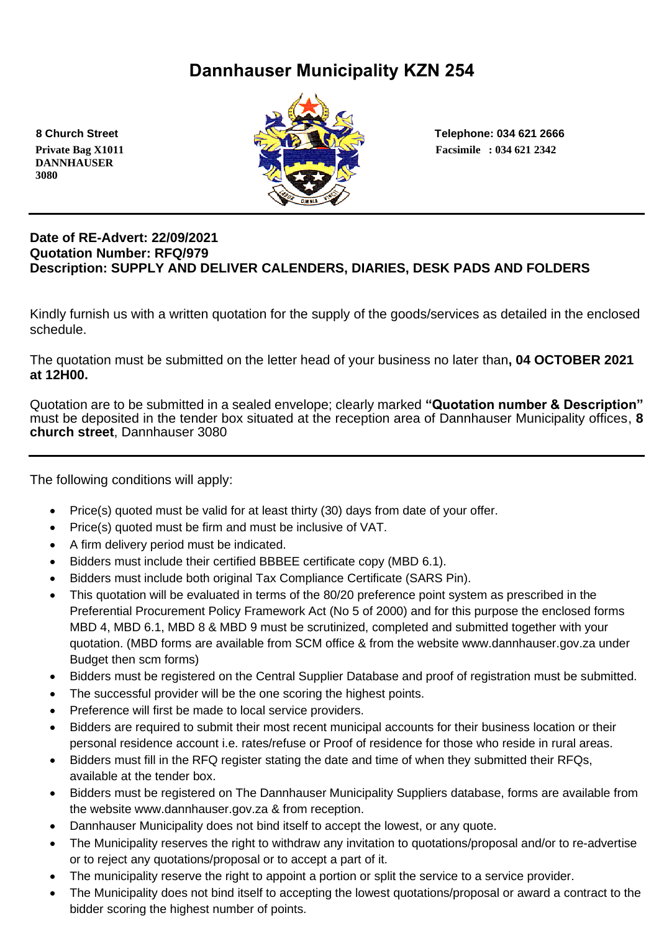# **Dannhauser Municipality KZN 254**

 **DANNHAUSER 3080** 



 **8 Church Street Telephone: 034 621 2666**

#### **Date of RE-Advert: 22/09/2021 Quotation Number: RFQ/979 Description: SUPPLY AND DELIVER CALENDERS, DIARIES, DESK PADS AND FOLDERS**

Kindly furnish us with a written quotation for the supply of the goods/services as detailed in the enclosed schedule.

The quotation must be submitted on the letter head of your business no later than**, 04 OCTOBER 2021 at 12H00.**

Quotation are to be submitted in a sealed envelope; clearly marked **"Quotation number & Description"** must be deposited in the tender box situated at the reception area of Dannhauser Municipality offices, **8 church street**, Dannhauser 3080

The following conditions will apply:

- Price(s) quoted must be valid for at least thirty (30) days from date of your offer.
- Price(s) quoted must be firm and must be inclusive of VAT.
- A firm delivery period must be indicated.
- Bidders must include their certified BBBEE certificate copy (MBD 6.1).
- Bidders must include both original Tax Compliance Certificate (SARS Pin).
- This quotation will be evaluated in terms of the 80/20 preference point system as prescribed in the Preferential Procurement Policy Framework Act (No 5 of 2000) and for this purpose the enclosed forms MBD 4, MBD 6.1, MBD 8 & MBD 9 must be scrutinized, completed and submitted together with your quotation. (MBD forms are available from SCM office & from the website www.dannhauser.gov.za under Budget then scm forms)
- Bidders must be registered on the Central Supplier Database and proof of registration must be submitted.
- The successful provider will be the one scoring the highest points.
- Preference will first be made to local service providers.
- Bidders are required to submit their most recent municipal accounts for their business location or their personal residence account i.e. rates/refuse or Proof of residence for those who reside in rural areas.
- Bidders must fill in the RFQ register stating the date and time of when they submitted their RFQs, available at the tender box.
- Bidders must be registered on The Dannhauser Municipality Suppliers database, forms are available from the website www.dannhauser.gov.za & from reception.
- Dannhauser Municipality does not bind itself to accept the lowest, or any quote.
- The Municipality reserves the right to withdraw any invitation to quotations/proposal and/or to re-advertise or to reject any quotations/proposal or to accept a part of it.
- The municipality reserve the right to appoint a portion or split the service to a service provider.
- The Municipality does not bind itself to accepting the lowest quotations/proposal or award a contract to the bidder scoring the highest number of points.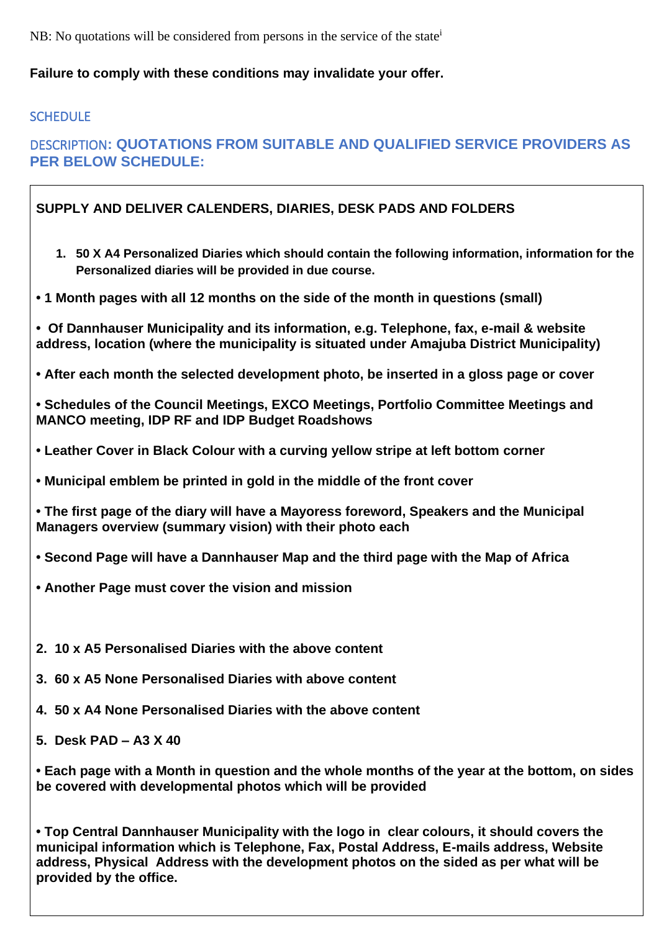NB: No quotations will be considered from persons in the service of the state<sup>i</sup>

#### **Failure to comply with these conditions may invalidate your offer.**

#### **SCHEDULE**

### DESCRIPTION**: QUOTATIONS FROM SUITABLE AND QUALIFIED SERVICE PROVIDERS AS PER BELOW SCHEDULE:**

#### **SUPPLY AND DELIVER CALENDERS, DIARIES, DESK PADS AND FOLDERS**

- **1. 50 X A4 Personalized Diaries which should contain the following information, information for the Personalized diaries will be provided in due course.**
- **• 1 Month pages with all 12 months on the side of the month in questions (small)**
- **Of Dannhauser Municipality and its information, e.g. Telephone, fax, e-mail & website address, location (where the municipality is situated under Amajuba District Municipality)**
- **• After each month the selected development photo, be inserted in a gloss page or cover**

**• Schedules of the Council Meetings, EXCO Meetings, Portfolio Committee Meetings and MANCO meeting, IDP RF and IDP Budget Roadshows**

- **• Leather Cover in Black Colour with a curving yellow stripe at left bottom corner**
- **• Municipal emblem be printed in gold in the middle of the front cover**

**• The first page of the diary will have a Mayoress foreword, Speakers and the Municipal Managers overview (summary vision) with their photo each**

- **• Second Page will have a Dannhauser Map and the third page with the Map of Africa**
- **• Another Page must cover the vision and mission**
- **2. 10 x A5 Personalised Diaries with the above content**
- **3. 60 x A5 None Personalised Diaries with above content**
- **4. 50 x A4 None Personalised Diaries with the above content**
- **5. Desk PAD – A3 X 40**

**• Each page with a Month in question and the whole months of the year at the bottom, on sides be covered with developmental photos which will be provided**

**• Top Central Dannhauser Municipality with the logo in clear colours, it should covers the municipal information which is Telephone, Fax, Postal Address, E-mails address, Website address, Physical Address with the development photos on the sided as per what will be provided by the office.**